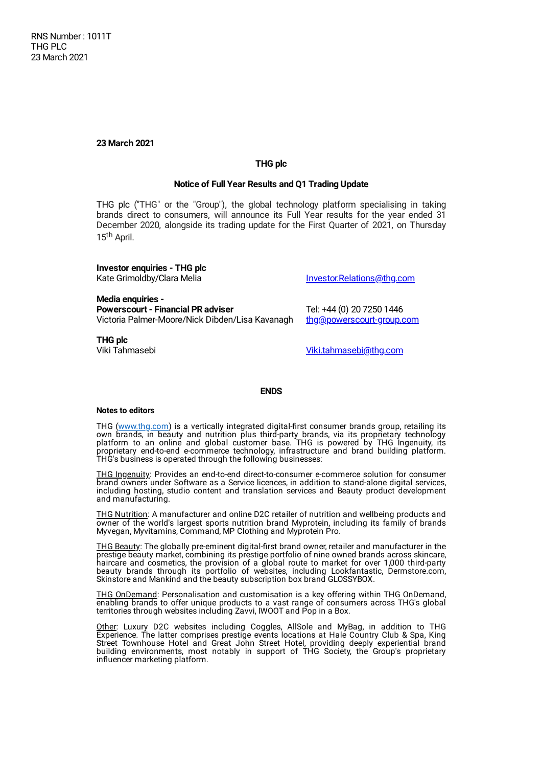**23 March 2021**

## **THG plc**

## **Notice of Full Year Results and Q1 Trading Update**

THG plc ("THG" or the "Group"), the global technology platform specialising in taking brands direct to consumers, will announce its Full Year results for the year ended 31 December 2020, alongside its trading update for the First Quarter of 2021, on Thursday 15<sup>th</sup> April.

**Investor enquiries - THG plc**

**Media enquiries - Powerscourt- Financial PR adviser** Tel: +44 (0) 20 7250 1446 Victoria Palmer-Moore/Nick Dibden/Lisa Kavanagh [thg@powerscourt-group.com](mailto:thg@powerscourt-group.com)

**THG plc**

Kate Grimoldby/Clara Melia **[Investor.Relations@thg.com](mailto:Investor.Relations@thg.com)** 

Viki Tahmasebi [Viki.tahmasebi@thg.com](mailto:Viki.tahmasebi@thg.com)

## **ENDS**

## **Notes to editors**

THG (www.thg.com) is a vertically integrated digital-first consumer brands group, retailing its own brands, in beauty and nutrition plus third-party brands, via its proprietary technology platform to an online and global customer base. THG is powered by THG Ingenuity, its proprietary end-to-end e-commerce technology, infrastructure and brand building platform. THG's business is operated through the following businesses:

THG Ingenuity: Provides an end-to-end direct-to-consumer e-commerce solution for consumer brand owners under Software as a Service licences, in addition to stand-alone digital services, including hosting, studio content and translation services and Beauty product development and manufacturing.

THG Nutrition: A manufacturer and online D2C retailer of nutrition and wellbeing products and owner of the world's largest sports nutrition brand Myprotein, including its family of brands Myvegan, Myvitamins, Command, MP Clothing and Myprotein Pro.

THG Beauty: The globally pre-eminent digital-first brand owner, retailer and manufacturer in the prestige beauty market, combining its prestige portfolio of nine owned brands across skincare, haircare and cosmetics, the provision of a global route to market for over 1,000 third-party beauty brands through its portfolio of websites, including Lookfantastic, Dermstore.com, Skinstore and Mankind and the beauty subscription box brand GLOSSYBOX.

THG OnDemand: Personalisation and customisation is a key offering within THG OnDemand, enabling brands to offer unique products to a vast range of consumers across THG's global territories through websites including Zavvi, IWOOT and Pop in a Box.

Other: Luxury D2C websites including Coggles, AllSole and MyBag, in addition to THG Experience. The latter comprises prestige events locations at Hale Country Club & Spa, King Street Townhouse Hotel and Great John Street Hotel, providing deeply experiential brand building environments, most notably in support of THG Society, the Group's proprietary influencer marketing platform.